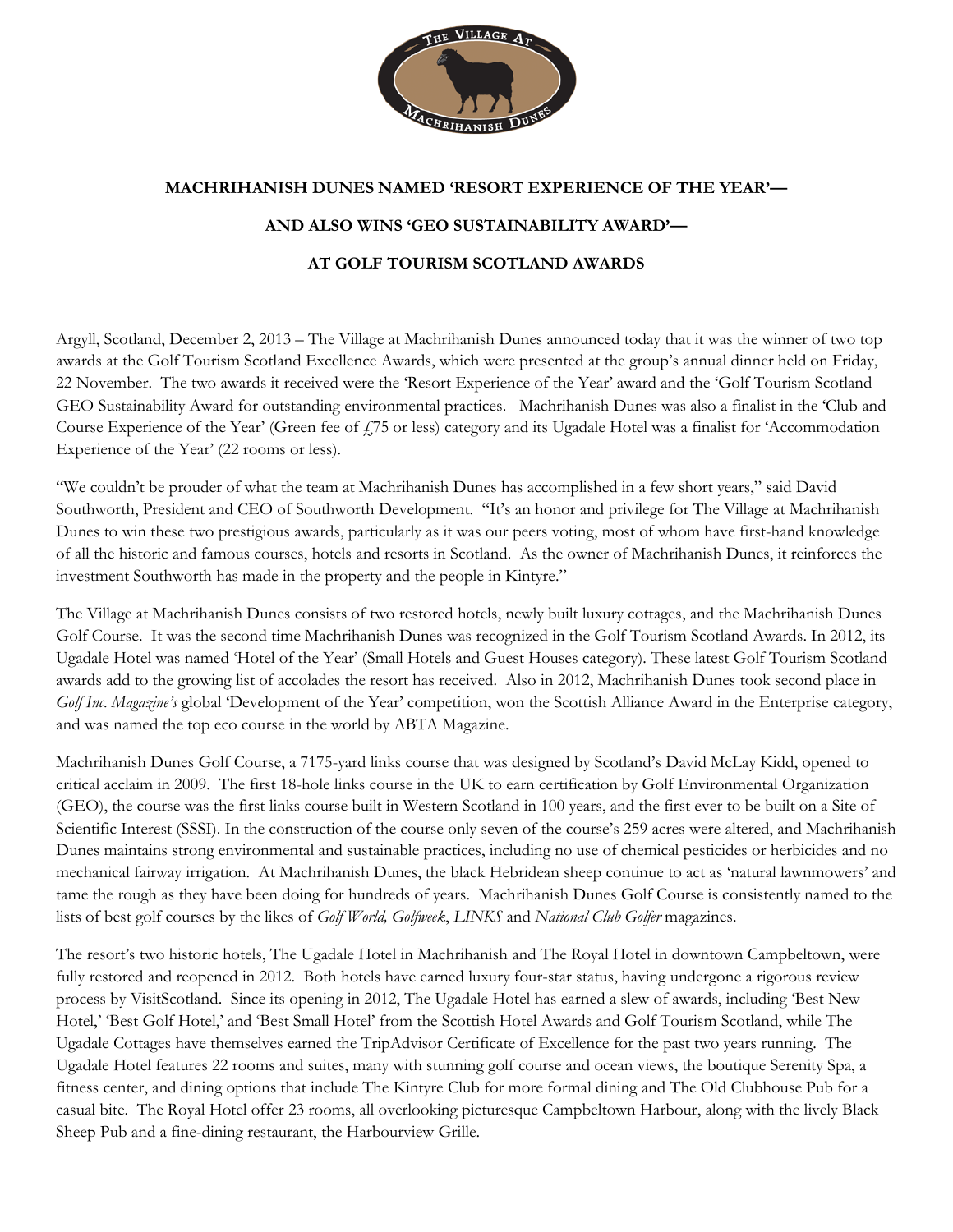

## **MACHRIHANISH DUNES NAMED 'RESORT EXPERIENCE OF THE YEAR'— AND ALSO WINS 'GEO SUSTAINABILITY AWARD'— AT GOLF TOURISM SCOTLAND AWARDS**

Argyll, Scotland, December 2, 2013 – The Village at Machrihanish Dunes announced today that it was the winner of two top awards at the Golf Tourism Scotland Excellence Awards, which were presented at the group's annual dinner held on Friday, 22 November. The two awards it received were the 'Resort Experience of the Year' award and the 'Golf Tourism Scotland GEO Sustainability Award for outstanding environmental practices. Machrihanish Dunes was also a finalist in the 'Club and Course Experience of the Year' (Green fee of  $f$ 75 or less) category and its Ugadale Hotel was a finalist for 'Accommodation Experience of the Year' (22 rooms or less).

"We couldn't be prouder of what the team at Machrihanish Dunes has accomplished in a few short years," said David Southworth, President and CEO of Southworth Development. "It's an honor and privilege for The Village at Machrihanish Dunes to win these two prestigious awards, particularly as it was our peers voting, most of whom have first-hand knowledge of all the historic and famous courses, hotels and resorts in Scotland. As the owner of Machrihanish Dunes, it reinforces the investment Southworth has made in the property and the people in Kintyre."

The Village at Machrihanish Dunes consists of two restored hotels, newly built luxury cottages, and the Machrihanish Dunes Golf Course. It was the second time Machrihanish Dunes was recognized in the Golf Tourism Scotland Awards. In 2012, its Ugadale Hotel was named 'Hotel of the Year' (Small Hotels and Guest Houses category). These latest Golf Tourism Scotland awards add to the growing list of accolades the resort has received. Also in 2012, Machrihanish Dunes took second place in *Golf Inc*. *Magazine's* global 'Development of the Year' competition, won the Scottish Alliance Award in the Enterprise category, and was named the top eco course in the world by ABTA Magazine.

Machrihanish Dunes Golf Course, a 7175-yard links course that was designed by Scotland's David McLay Kidd, opened to critical acclaim in 2009. The first 18-hole links course in the UK to earn certification by Golf Environmental Organization (GEO), the course was the first links course built in Western Scotland in 100 years, and the first ever to be built on a Site of Scientific Interest (SSSI). In the construction of the course only seven of the course's 259 acres were altered, and Machrihanish Dunes maintains strong environmental and sustainable practices, including no use of chemical pesticides or herbicides and no mechanical fairway irrigation. At Machrihanish Dunes, the black Hebridean sheep continue to act as 'natural lawnmowers' and tame the rough as they have been doing for hundreds of years. Machrihanish Dunes Golf Course is consistently named to the lists of best golf courses by the likes of *Golf World, Golfweek*, *LINKS* and *National Club Golfer* magazines.

The resort's two historic hotels, The Ugadale Hotel in Machrihanish and The Royal Hotel in downtown Campbeltown, were fully restored and reopened in 2012. Both hotels have earned luxury four-star status, having undergone a rigorous review process by VisitScotland. Since its opening in 2012, The Ugadale Hotel has earned a slew of awards, including 'Best New Hotel,' 'Best Golf Hotel,' and 'Best Small Hotel' from the Scottish Hotel Awards and Golf Tourism Scotland, while The Ugadale Cottages have themselves earned the TripAdvisor Certificate of Excellence for the past two years running. The Ugadale Hotel features 22 rooms and suites, many with stunning golf course and ocean views, the boutique Serenity Spa, a fitness center, and dining options that include The Kintyre Club for more formal dining and The Old Clubhouse Pub for a casual bite. The Royal Hotel offer 23 rooms, all overlooking picturesque Campbeltown Harbour, along with the lively Black Sheep Pub and a fine-dining restaurant, the Harbourview Grille.